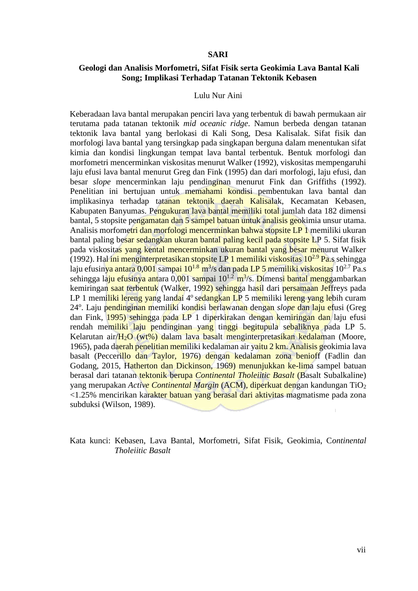## **SARI**

# **Geologi dan Analisis Morfometri, Sifat Fisik serta Geokimia Lava Bantal Kali Song; Implikasi Terhadap Tatanan Tektonik Kebasen**

### Lulu Nur Aini

Keberadaan lava bantal merupakan penciri lava yang terbentuk di bawah permukaan air terutama pada tatanan tektonik *mid oceanic ridge*. Namun berbeda dengan tatanan tektonik lava bantal yang berlokasi di Kali Song, Desa Kalisalak. Sifat fisik dan morfologi lava bantal yang tersingkap pada singkapan berguna dalam menentukan sifat kimia dan kondisi lingkungan tempat lava bantal terbentuk. Bentuk morfologi dan morfometri mencerminkan viskositas menurut Walker (1992), viskositas mempengaruhi laju efusi lava bantal menurut Greg dan Fink (1995) dan dari morfologi, laju efusi, dan besar *slope* mencerminkan laju pendinginan menurut Fink dan Griffiths (1992). Penelitian ini bertujuan untuk memahami kondisi pembentukan lava bantal dan implikasinya terhadap tatanan tektonik daerah Kalisalak, Kecamatan Kebasen, Kabupaten Banyumas. Pengukuran lava bantal memiliki total jumlah data 182 dimensi bantal, 5 stopsite pengamatan dan 5 sampel batuan untuk analisis geokimia unsur utama. Analisis morfometri dan morfologi mencerminkan bahwa stopsite LP 1 memiliki ukuran bantal paling besar sedangkan ukuran bantal paling kecil pada stopsite LP 5. Sifat fisik pada viskositas yang kental mencerminkan ukuran bantal yang besar menurut Walker (1992). Hal ini menginterpretasikan stopsite LP 1 memiliki viskositas  $10^{2.9}$  Pa.s sehingga laju efusin<mark>ya antara 0,001</mark> sampai 10<sup>1.8</sup> m<sup>3</sup>/s dan pada LP 5 memiliki viskositas 10<sup>2.7</sup> Pa.s sehingga la<mark>ju efusinya ant</mark>ara 0,001 sampai 10<sup>1.2</sup> m<sup>3</sup>/s. Dimensi bantal menggambarkan kemiringan saat terbentuk (Walker, 1992) sehingga hasil dari persamaan Jeffreys pada LP 1 memiliki lereng yang landai 4<sup>°</sup> sedangkan LP 5 memiliki lereng yang lebih curam 24°. Laju pendinginan memiliki kondisi berlawanan dengan *slope* dan laju efusi (Greg dan Fink, 1995) sehingga pada LP 1 diperkirakan dengan kemiringan dan laju efusi rendah memiliki laju pendinginan yang tinggi begitupula sebaliknya pada LP 5. Kelarutan air/H2O (wt%) dalam lava basalt menginterpretasikan kedalaman (Moore, 1965), pada daerah penelitian memiliki kedalaman air yaitu 2 km. Analisis geokimia lava basalt (Peccerillo dan Taylor, 1976) dengan kedalaman zona benioff (Fadlin dan Godang, 2015, Hatherton dan Dickinson, 1969) menunjukkan ke-lima sampel batuan berasal dari tatanan tektonik berupa *Continental Tholeiitic Basalt* (Basalt Subalkaline) yang merupakan *Active Continental Margin* (ACM), diperkuat dengan kandungan TiO<sup>2</sup> <1.25% mencirikan karakter batuan yang berasal dari aktivitas magmatisme pada zona subduksi (Wilson, 1989).

Kata kunci: Kebasen, Lava Bantal, Morfometri, Sifat Fisik, Geokimia, C*ontinental Tholeiitic Basalt*